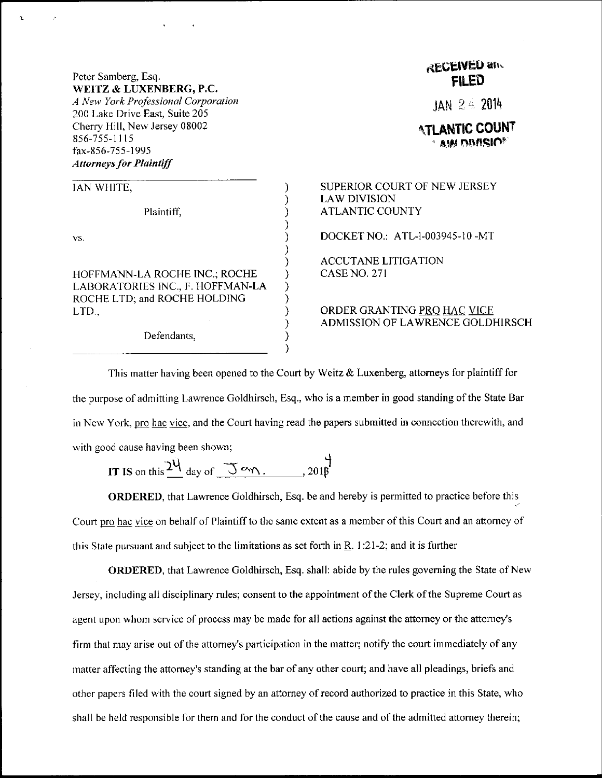## Peter Samberg, Esq. WEITZ & LUXENBERG, P.C.

Ł

A New York Professional Corporation 200 Lake Drive East, Suite 205 Cherry Hill, New Jersey 08002 856-755-1115 fax-856-755-1995 **Attorneys for Plaintiff** 

| <b>JAN WHITE,</b>                                                |  |
|------------------------------------------------------------------|--|
| Plaintiff,                                                       |  |
| VS.                                                              |  |
| HOFFMANN-LA ROCHE INC.; ROCHE                                    |  |
| LABORATORIES INC., F. HOFFMAN-LA<br>ROCHE LTD; and ROCHE HOLDING |  |
| LTD.,                                                            |  |

Defendants,

## **RECEIVED and FILED**

JAN 24 2014

I ANTIC COUNT AW DIMSIO<sup>®</sup>

SUPERIOR COURT OF NEW JERSEY **LAW DIVISION ATLANTIC COUNTY** 

DOCKET NO.: ATL-1-003945-10-MT

**ACCUTANE LITIGATION CASE NO. 271** 

ORDER GRANTING PRO HAC VICE ADMISSION OF LAWRENCE GOLDHIRSCH

This matter having been opened to the Court by Weitz  $\&$  Luxenberg, attorneys for plaintiff for the purpose of admitting Lawrence Goldhirsch, Esq., who is a member in good standing of the State Bar in New York, pro hac vice, and the Court having read the papers submitted in connection therewith, and with good cause having been shown;

IT IS on this  $24$  day of  $\overline{3}$  and  $\overline{3}$  and  $\overline{3}$ 

ORDERED, that Lawrence Goldhirsch, Esq. be and hereby is permitted to practice before this Court pro hac vice on behalf of Plaintiff to the same extent as a member of this Court and an attorney of this State pursuant and subject to the limitations as set forth in  $R$ , 1:21-2; and it is further

**ORDERED**, that Lawrence Goldhirsch, Esq. shall: abide by the rules governing the State of New Jersey, including all disciplinary rules; consent to the appointment of the Clerk of the Supreme Court as agent upon whom service of process may be made for all actions against the attorney or the attorney's firm that may arise out of the attorney's participation in the matter; notify the court immediately of any matter affecting the attorney's standing at the bar of any other court; and have all pleadings, briefs and other papers filed with the court signed by an attorney of record authorized to practice in this State, who shall be held responsible for them and for the conduct of the cause and of the admitted attorney therein;